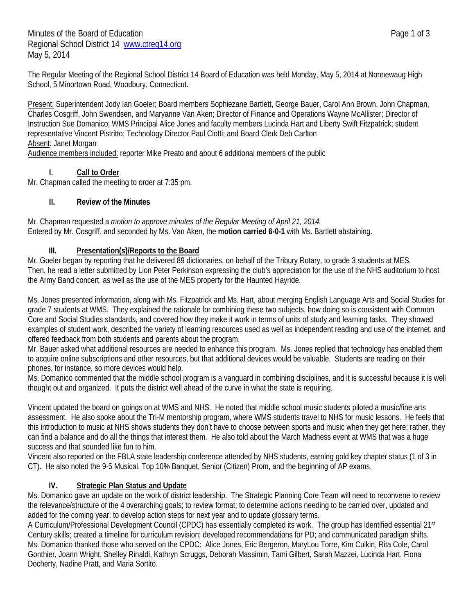The Regular Meeting of the Regional School District 14 Board of Education was held Monday, May 5, 2014 at Nonnewaug High School, 5 Minortown Road, Woodbury, Connecticut.

Present: Superintendent Jody Ian Goeler; Board members Sophiezane Bartlett, George Bauer, Carol Ann Brown, John Chapman, Charles Cosgriff, John Swendsen, and Maryanne Van Aken; Director of Finance and Operations Wayne McAllister; Director of Instruction Sue Domanico; WMS Principal Alice Jones and faculty members Lucinda Hart and Liberty Swift Fitzpatrick; student representative Vincent Pistritto; Technology Director Paul Ciotti; and Board Clerk Deb Carlton Absent: Janet Morgan

Audience members included: reporter Mike Preato and about 6 additional members of the public

#### **I. Call to Order**

Mr. Chapman called the meeting to order at 7:35 pm.

#### **II. Review of the Minutes**

Mr. Chapman requested a *motion to approve minutes of the Regular Meeting of April 21, 2014.* Entered by Mr. Cosgriff, and seconded by Ms. Van Aken, the **motion carried 6-0-1** with Ms. Bartlett abstaining.

#### **III. Presentation(s)/Reports to the Board**

Mr. Goeler began by reporting that he delivered 89 dictionaries, on behalf of the Tribury Rotary, to grade 3 students at MES. Then, he read a letter submitted by Lion Peter Perkinson expressing the club's appreciation for the use of the NHS auditorium to host the Army Band concert, as well as the use of the MES property for the Haunted Hayride.

Ms. Jones presented information, along with Ms. Fitzpatrick and Ms. Hart, about merging English Language Arts and Social Studies for grade 7 students at WMS. They explained the rationale for combining these two subjects, how doing so is consistent with Common Core and Social Studies standards, and covered how they make it work in terms of units of study and learning tasks. They showed examples of student work, described the variety of learning resources used as well as independent reading and use of the internet, and offered feedback from both students and parents about the program.

Mr. Bauer asked what additional resources are needed to enhance this program. Ms. Jones replied that technology has enabled them to acquire online subscriptions and other resources, but that additional devices would be valuable. Students are reading on their phones, for instance, so more devices would help.

Ms. Domanico commented that the middle school program is a vanguard in combining disciplines, and it is successful because it is well thought out and organized. It puts the district well ahead of the curve in what the state is requiring.

Vincent updated the board on goings on at WMS and NHS. He noted that middle school music students piloted a music/fine arts assessment. He also spoke about the Tri-M mentorship program, where WMS students travel to NHS for music lessons. He feels that this introduction to music at NHS shows students they don't have to choose between sports and music when they get here; rather, they can find a balance and do all the things that interest them. He also told about the March Madness event at WMS that was a huge success and that sounded like fun to him.

Vincent also reported on the FBLA state leadership conference attended by NHS students, earning gold key chapter status (1 of 3 in CT). He also noted the 9-5 Musical, Top 10% Banquet, Senior (Citizen) Prom, and the beginning of AP exams.

### **IV. Strategic Plan Status and Update**

Ms. Domanico gave an update on the work of district leadership. The Strategic Planning Core Team will need to reconvene to review the relevance/structure of the 4 overarching goals; to review format; to determine actions needing to be carried over, updated and added for the coming year; to develop action steps for next year and to update glossary terms.

A Curriculum/Professional Development Council (CPDC) has essentially completed its work. The group has identified essential 21st Century skills; created a timeline for curriculum revision; developed recommendations for PD; and communicated paradigm shifts. Ms. Domanico thanked those who served on the CPDC: Alice Jones, Eric Bergeron, MaryLou Torre, Kim Culkin, Rita Cole, Carol Gonthier, Joann Wright, Shelley Rinaldi, Kathryn Scruggs, Deborah Massimin, Tami Gilbert, Sarah Mazzei, Lucinda Hart, Fiona Docherty, Nadine Pratt, and Maria Sortito.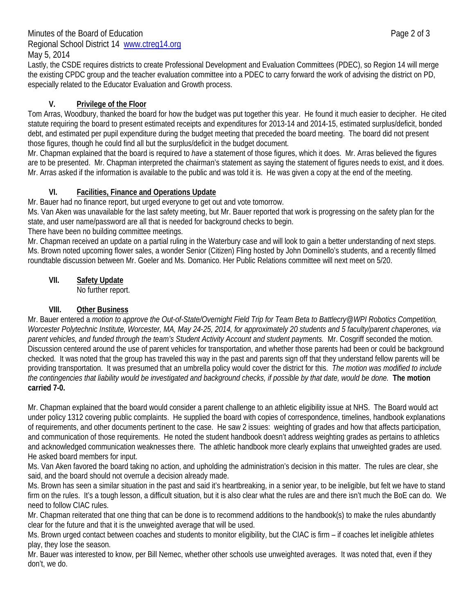# Minutes of the Board of Education **Page 2 of 3** Regional School District 14 www.ctreg14.org

May 5, 2014

Lastly, the CSDE requires districts to create Professional Development and Evaluation Committees (PDEC), so Region 14 will merge the existing CPDC group and the teacher evaluation committee into a PDEC to carry forward the work of advising the district on PD, especially related to the Educator Evaluation and Growth process.

# **V. Privilege of the Floor**

Tom Arras, Woodbury, thanked the board for how the budget was put together this year. He found it much easier to decipher. He cited statute requiring the board to present estimated receipts and expenditures for 2013-14 and 2014-15, estimated surplus/deficit, bonded debt, and estimated per pupil expenditure during the budget meeting that preceded the board meeting. The board did not present those figures, though he could find all but the surplus/deficit in the budget document.

Mr. Chapman explained that the board is required to *have* a statement of those figures, which it does. Mr. Arras believed the figures are to be presented. Mr. Chapman interpreted the chairman's statement as saying the statement of figures needs to exist, and it does. Mr. Arras asked if the information is available to the public and was told it is. He was given a copy at the end of the meeting.

## **VI. Facilities, Finance and Operations Update**

Mr. Bauer had no finance report, but urged everyone to get out and vote tomorrow.

Ms. Van Aken was unavailable for the last safety meeting, but Mr. Bauer reported that work is progressing on the safety plan for the state, and user name/password are all that is needed for background checks to begin.

There have been no building committee meetings.

Mr. Chapman received an update on a partial ruling in the Waterbury case and will look to gain a better understanding of next steps. Ms. Brown noted upcoming flower sales, a wonder Senior (Citizen) Fling hosted by John Dominello's students, and a recently filmed roundtable discussion between Mr. Goeler and Ms. Domanico. Her Public Relations committee will next meet on 5/20.

## **VII. Safety Update**

No further report.

## **VIII. Other Business**

Mr. Bauer entered a *motion to approve the Out-of-State/Overnight Field Trip for Team Beta to Battlecry@WPI Robotics Competition, Worcester Polytechnic Institute, Worcester, MA, May 24-25, 2014, for approximately 20 students and 5 faculty/parent chaperones, via parent vehicles, and funded through the team's Student Activity Account and student payments.* Mr. Cosgriff seconded the motion. Discussion centered around the use of parent vehicles for transportation, and whether those parents had been or could be background checked. It was noted that the group has traveled this way in the past and parents sign off that they understand fellow parents will be providing transportation. It was presumed that an umbrella policy would cover the district for this. *The motion was modified to include the contingencies that liability would be investigated and background checks, if possible by that date, would be done.* **The motion carried 7-0.** 

Mr. Chapman explained that the board would consider a parent challenge to an athletic eligibility issue at NHS. The Board would act under policy 1312 covering public complaints. He supplied the board with copies of correspondence, timelines, handbook explanations of requirements, and other documents pertinent to the case. He saw 2 issues: weighting of grades and how that affects participation, and communication of those requirements. He noted the student handbook doesn't address weighting grades as pertains to athletics and acknowledged communication weaknesses there. The athletic handbook more clearly explains that unweighted grades are used. He asked board members for input.

Ms. Van Aken favored the board taking no action, and upholding the administration's decision in this matter. The rules are clear, she said, and the board should not overrule a decision already made.

Ms. Brown has seen a similar situation in the past and said it's heartbreaking, in a senior year, to be ineligible, but felt we have to stand firm on the rules. It's a tough lesson, a difficult situation, but it is also clear what the rules are and there isn't much the BoE can do. We need to follow CIAC rules.

Mr. Chapman reiterated that one thing that can be done is to recommend additions to the handbook(s) to make the rules abundantly clear for the future and that it is the unweighted average that will be used.

Ms. Brown urged contact between coaches and students to monitor eligibility, but the CIAC is firm – if coaches let ineligible athletes play, they lose the season.

Mr. Bauer was interested to know, per Bill Nemec, whether other schools use unweighted averages. It was noted that, even if they don't, we do.